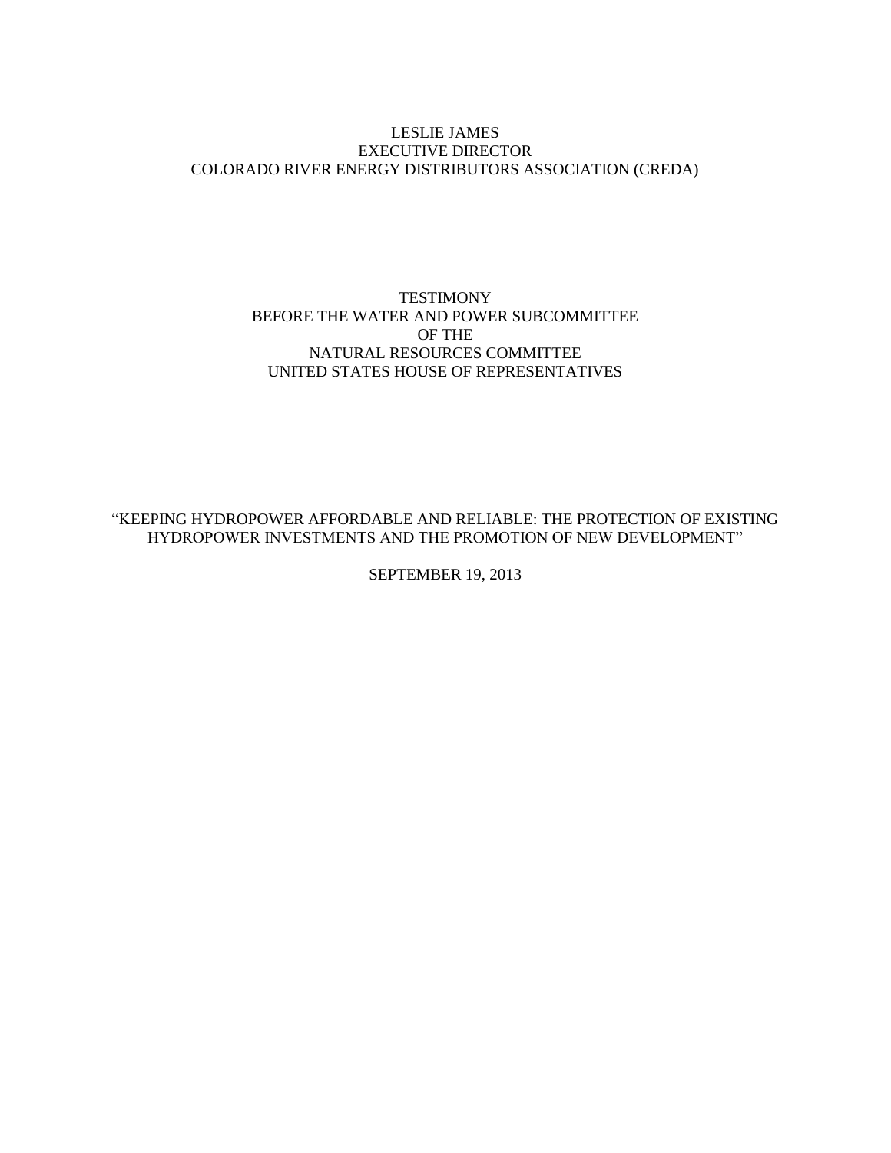# LESLIE JAMES EXECUTIVE DIRECTOR COLORADO RIVER ENERGY DISTRIBUTORS ASSOCIATION (CREDA)

# **TESTIMONY** BEFORE THE WATER AND POWER SUBCOMMITTEE OF THE NATURAL RESOURCES COMMITTEE UNITED STATES HOUSE OF REPRESENTATIVES

"KEEPING HYDROPOWER AFFORDABLE AND RELIABLE: THE PROTECTION OF EXISTING HYDROPOWER INVESTMENTS AND THE PROMOTION OF NEW DEVELOPMENT"

SEPTEMBER 19, 2013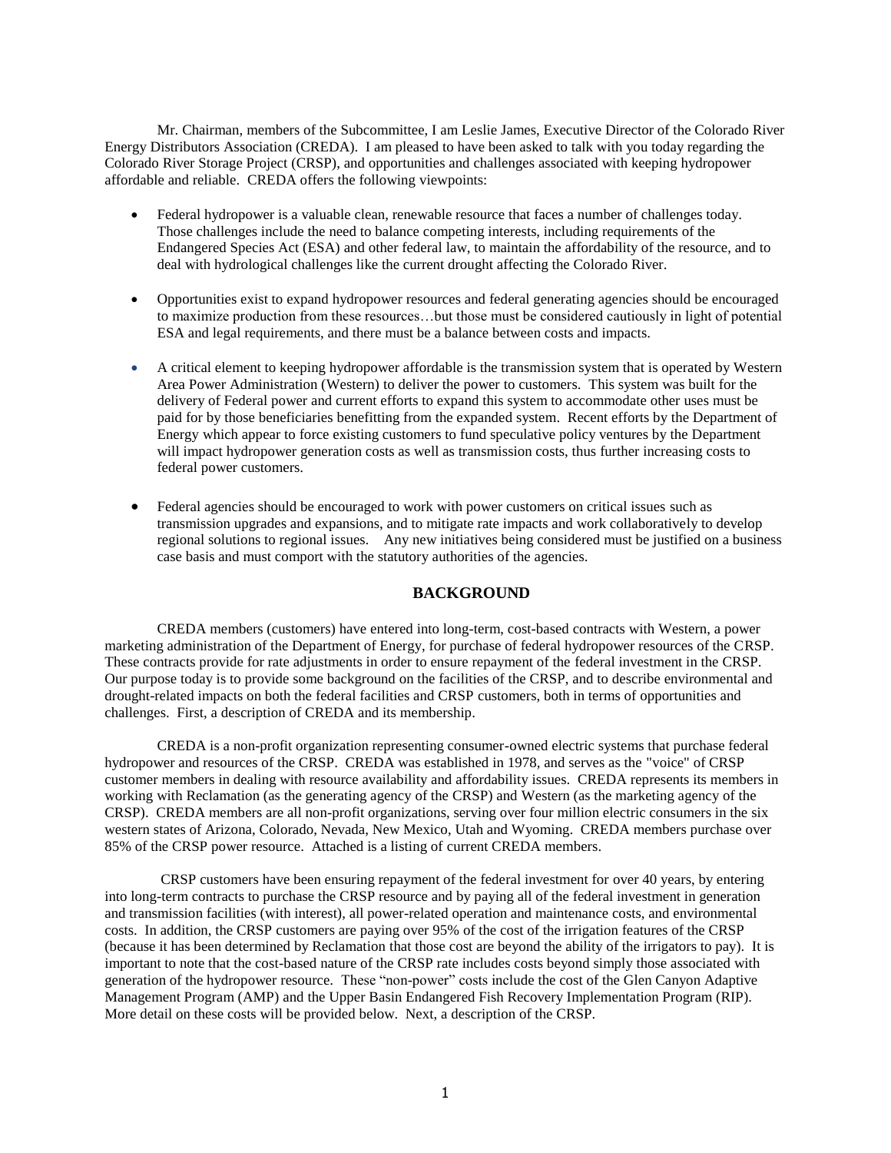Mr. Chairman, members of the Subcommittee, I am Leslie James, Executive Director of the Colorado River Energy Distributors Association (CREDA). I am pleased to have been asked to talk with you today regarding the Colorado River Storage Project (CRSP), and opportunities and challenges associated with keeping hydropower affordable and reliable. CREDA offers the following viewpoints:

- Federal hydropower is a valuable clean, renewable resource that faces a number of challenges today. Those challenges include the need to balance competing interests, including requirements of the Endangered Species Act (ESA) and other federal law, to maintain the affordability of the resource, and to deal with hydrological challenges like the current drought affecting the Colorado River.
- Opportunities exist to expand hydropower resources and federal generating agencies should be encouraged to maximize production from these resources…but those must be considered cautiously in light of potential ESA and legal requirements, and there must be a balance between costs and impacts.
- A critical element to keeping hydropower affordable is the transmission system that is operated by Western Area Power Administration (Western) to deliver the power to customers. This system was built for the delivery of Federal power and current efforts to expand this system to accommodate other uses must be paid for by those beneficiaries benefitting from the expanded system. Recent efforts by the Department of Energy which appear to force existing customers to fund speculative policy ventures by the Department will impact hydropower generation costs as well as transmission costs, thus further increasing costs to federal power customers.
- Federal agencies should be encouraged to work with power customers on critical issues such as transmission upgrades and expansions, and to mitigate rate impacts and work collaboratively to develop regional solutions to regional issues. Any new initiatives being considered must be justified on a business case basis and must comport with the statutory authorities of the agencies.

# **BACKGROUND**

CREDA members (customers) have entered into long-term, cost-based contracts with Western, a power marketing administration of the Department of Energy, for purchase of federal hydropower resources of the CRSP. These contracts provide for rate adjustments in order to ensure repayment of the federal investment in the CRSP. Our purpose today is to provide some background on the facilities of the CRSP, and to describe environmental and drought-related impacts on both the federal facilities and CRSP customers, both in terms of opportunities and challenges. First, a description of CREDA and its membership.

CREDA is a non-profit organization representing consumer-owned electric systems that purchase federal hydropower and resources of the CRSP. CREDA was established in 1978, and serves as the "voice" of CRSP customer members in dealing with resource availability and affordability issues. CREDA represents its members in working with Reclamation (as the generating agency of the CRSP) and Western (as the marketing agency of the CRSP). CREDA members are all non-profit organizations, serving over four million electric consumers in the six western states of Arizona, Colorado, Nevada, New Mexico, Utah and Wyoming. CREDA members purchase over 85% of the CRSP power resource. Attached is a listing of current CREDA members.

CRSP customers have been ensuring repayment of the federal investment for over 40 years, by entering into long-term contracts to purchase the CRSP resource and by paying all of the federal investment in generation and transmission facilities (with interest), all power-related operation and maintenance costs, and environmental costs. In addition, the CRSP customers are paying over 95% of the cost of the irrigation features of the CRSP (because it has been determined by Reclamation that those cost are beyond the ability of the irrigators to pay). It is important to note that the cost-based nature of the CRSP rate includes costs beyond simply those associated with generation of the hydropower resource. These "non-power" costs include the cost of the Glen Canyon Adaptive Management Program (AMP) and the Upper Basin Endangered Fish Recovery Implementation Program (RIP). More detail on these costs will be provided below. Next, a description of the CRSP.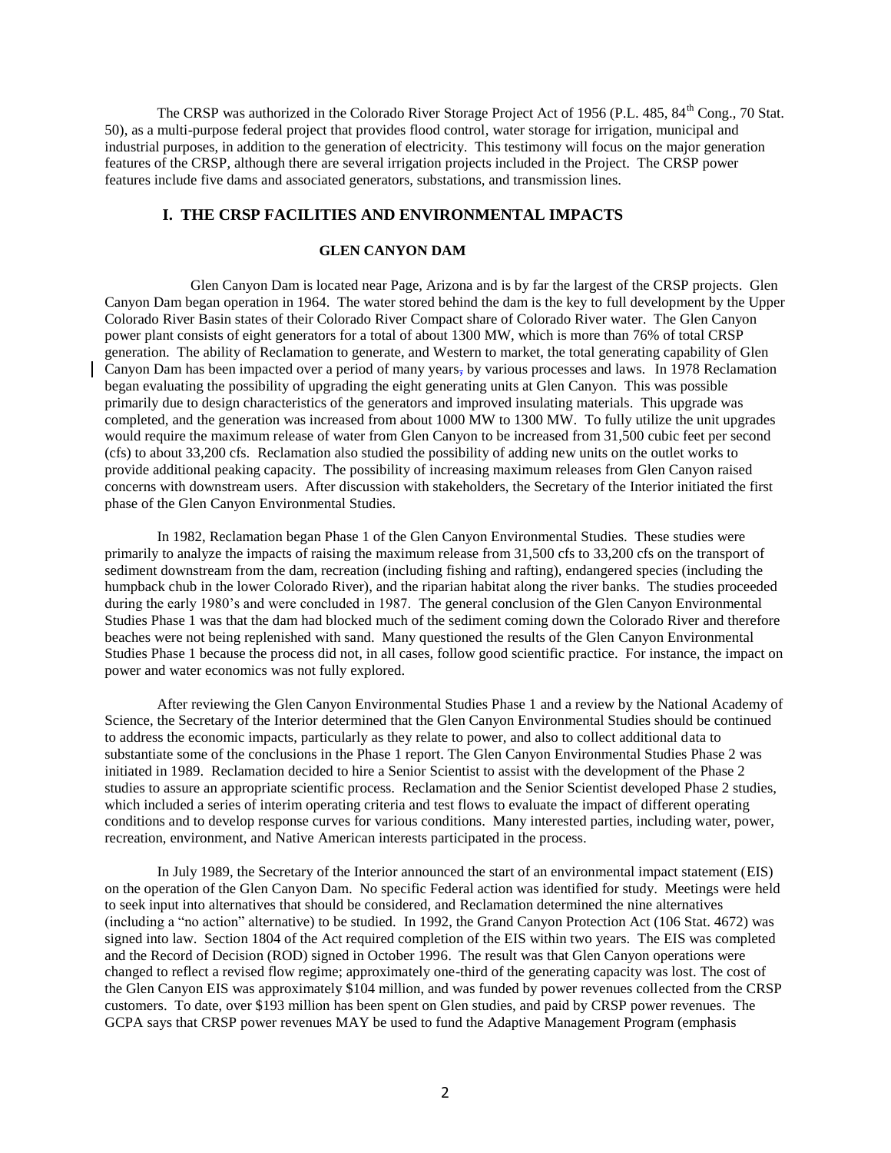The CRSP was authorized in the Colorado River Storage Project Act of 1956 (P.L. 485, 84<sup>th</sup> Cong., 70 Stat. 50), as a multi-purpose federal project that provides flood control, water storage for irrigation, municipal and industrial purposes, in addition to the generation of electricity. This testimony will focus on the major generation features of the CRSP, although there are several irrigation projects included in the Project. The CRSP power features include five dams and associated generators, substations, and transmission lines.

## **I. THE CRSP FACILITIES AND ENVIRONMENTAL IMPACTS**

### **GLEN CANYON DAM**

 Glen Canyon Dam is located near Page, Arizona and is by far the largest of the CRSP projects. Glen Canyon Dam began operation in 1964. The water stored behind the dam is the key to full development by the Upper Colorado River Basin states of their Colorado River Compact share of Colorado River water. The Glen Canyon power plant consists of eight generators for a total of about 1300 MW, which is more than 76% of total CRSP generation. The ability of Reclamation to generate, and Western to market, the total generating capability of Glen Canyon Dam has been impacted over a period of many years, by various processes and laws. In 1978 Reclamation began evaluating the possibility of upgrading the eight generating units at Glen Canyon. This was possible primarily due to design characteristics of the generators and improved insulating materials. This upgrade was completed, and the generation was increased from about 1000 MW to 1300 MW. To fully utilize the unit upgrades would require the maximum release of water from Glen Canyon to be increased from 31,500 cubic feet per second (cfs) to about 33,200 cfs. Reclamation also studied the possibility of adding new units on the outlet works to provide additional peaking capacity. The possibility of increasing maximum releases from Glen Canyon raised concerns with downstream users. After discussion with stakeholders, the Secretary of the Interior initiated the first phase of the Glen Canyon Environmental Studies.

In 1982, Reclamation began Phase 1 of the Glen Canyon Environmental Studies. These studies were primarily to analyze the impacts of raising the maximum release from 31,500 cfs to 33,200 cfs on the transport of sediment downstream from the dam, recreation (including fishing and rafting), endangered species (including the humpback chub in the lower Colorado River), and the riparian habitat along the river banks. The studies proceeded during the early 1980's and were concluded in 1987. The general conclusion of the Glen Canyon Environmental Studies Phase 1 was that the dam had blocked much of the sediment coming down the Colorado River and therefore beaches were not being replenished with sand. Many questioned the results of the Glen Canyon Environmental Studies Phase 1 because the process did not, in all cases, follow good scientific practice. For instance, the impact on power and water economics was not fully explored.

After reviewing the Glen Canyon Environmental Studies Phase 1 and a review by the National Academy of Science, the Secretary of the Interior determined that the Glen Canyon Environmental Studies should be continued to address the economic impacts, particularly as they relate to power, and also to collect additional data to substantiate some of the conclusions in the Phase 1 report. The Glen Canyon Environmental Studies Phase 2 was initiated in 1989. Reclamation decided to hire a Senior Scientist to assist with the development of the Phase 2 studies to assure an appropriate scientific process. Reclamation and the Senior Scientist developed Phase 2 studies, which included a series of interim operating criteria and test flows to evaluate the impact of different operating conditions and to develop response curves for various conditions. Many interested parties, including water, power, recreation, environment, and Native American interests participated in the process.

In July 1989, the Secretary of the Interior announced the start of an environmental impact statement (EIS) on the operation of the Glen Canyon Dam. No specific Federal action was identified for study. Meetings were held to seek input into alternatives that should be considered, and Reclamation determined the nine alternatives (including a "no action" alternative) to be studied. In 1992, the Grand Canyon Protection Act (106 Stat. 4672) was signed into law. Section 1804 of the Act required completion of the EIS within two years. The EIS was completed and the Record of Decision (ROD) signed in October 1996. The result was that Glen Canyon operations were changed to reflect a revised flow regime; approximately one-third of the generating capacity was lost. The cost of the Glen Canyon EIS was approximately \$104 million, and was funded by power revenues collected from the CRSP customers. To date, over \$193 million has been spent on Glen studies, and paid by CRSP power revenues. The GCPA says that CRSP power revenues MAY be used to fund the Adaptive Management Program (emphasis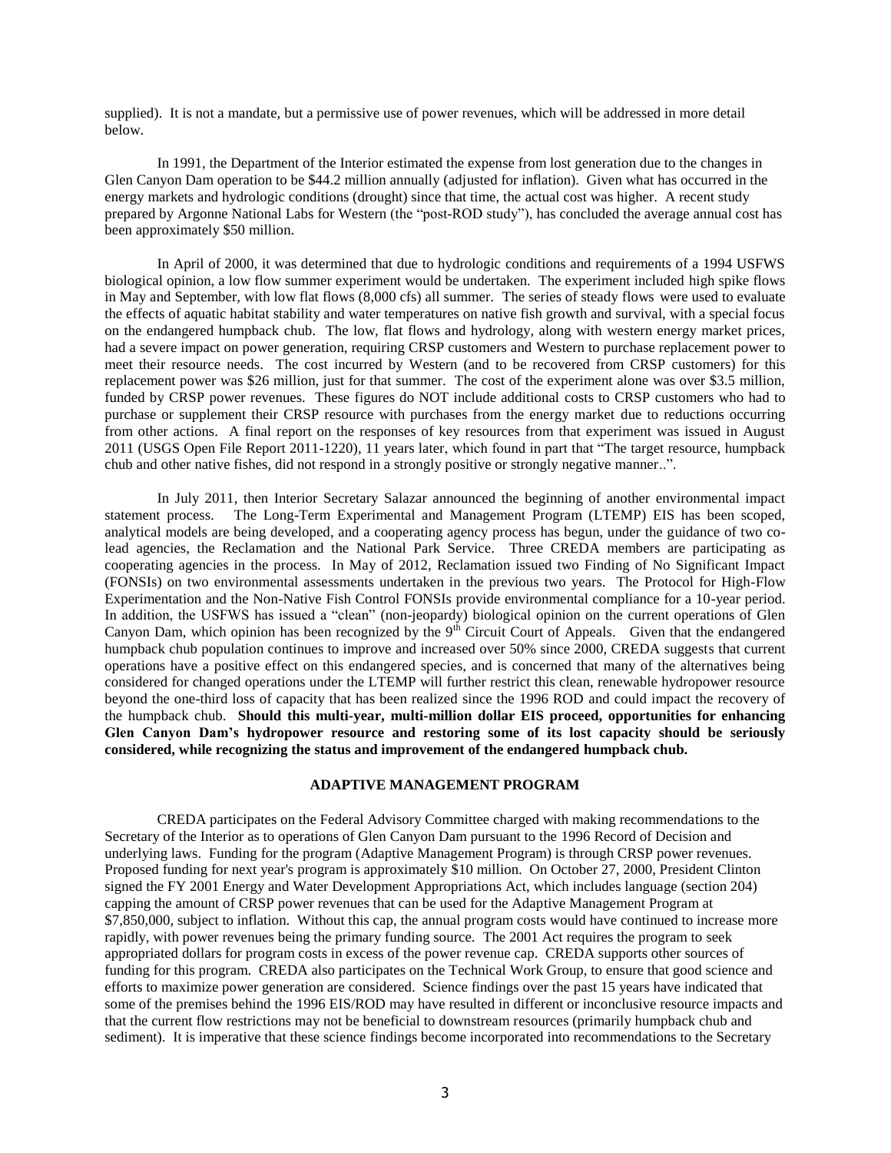supplied). It is not a mandate, but a permissive use of power revenues, which will be addressed in more detail below.

In 1991, the Department of the Interior estimated the expense from lost generation due to the changes in Glen Canyon Dam operation to be \$44.2 million annually (adjusted for inflation). Given what has occurred in the energy markets and hydrologic conditions (drought) since that time, the actual cost was higher. A recent study prepared by Argonne National Labs for Western (the "post-ROD study"), has concluded the average annual cost has been approximately \$50 million.

In April of 2000, it was determined that due to hydrologic conditions and requirements of a 1994 USFWS biological opinion, a low flow summer experiment would be undertaken. The experiment included high spike flows in May and September, with low flat flows (8,000 cfs) all summer. The series of steady flows were used to evaluate the effects of aquatic habitat stability and water temperatures on native fish growth and survival, with a special focus on the endangered humpback chub. The low, flat flows and hydrology, along with western energy market prices, had a severe impact on power generation, requiring CRSP customers and Western to purchase replacement power to meet their resource needs. The cost incurred by Western (and to be recovered from CRSP customers) for this replacement power was \$26 million, just for that summer. The cost of the experiment alone was over \$3.5 million, funded by CRSP power revenues. These figures do NOT include additional costs to CRSP customers who had to purchase or supplement their CRSP resource with purchases from the energy market due to reductions occurring from other actions. A final report on the responses of key resources from that experiment was issued in August 2011 (USGS Open File Report 2011-1220), 11 years later, which found in part that "The target resource, humpback chub and other native fishes, did not respond in a strongly positive or strongly negative manner..".

In July 2011, then Interior Secretary Salazar announced the beginning of another environmental impact statement process. The Long-Term Experimental and Management Program (LTEMP) EIS has been scoped, analytical models are being developed, and a cooperating agency process has begun, under the guidance of two colead agencies, the Reclamation and the National Park Service. Three CREDA members are participating as cooperating agencies in the process. In May of 2012, Reclamation issued two Finding of No Significant Impact (FONSIs) on two environmental assessments undertaken in the previous two years. The Protocol for High-Flow Experimentation and the Non-Native Fish Control FONSIs provide environmental compliance for a 10-year period. In addition, the USFWS has issued a "clean" (non-jeopardy) biological opinion on the current operations of Glen Canyon Dam, which opinion has been recognized by the 9<sup>th</sup> Circuit Court of Appeals. Given that the endangered humpback chub population continues to improve and increased over 50% since 2000, CREDA suggests that current operations have a positive effect on this endangered species, and is concerned that many of the alternatives being considered for changed operations under the LTEMP will further restrict this clean, renewable hydropower resource beyond the one-third loss of capacity that has been realized since the 1996 ROD and could impact the recovery of the humpback chub. **Should this multi-year, multi-million dollar EIS proceed, opportunities for enhancing Glen Canyon Dam's hydropower resource and restoring some of its lost capacity should be seriously considered, while recognizing the status and improvement of the endangered humpback chub.**

### **ADAPTIVE MANAGEMENT PROGRAM**

CREDA participates on the Federal Advisory Committee charged with making recommendations to the Secretary of the Interior as to operations of Glen Canyon Dam pursuant to the 1996 Record of Decision and underlying laws. Funding for the program (Adaptive Management Program) is through CRSP power revenues. Proposed funding for next year's program is approximately \$10 million. On October 27, 2000, President Clinton signed the FY 2001 Energy and Water Development Appropriations Act, which includes language (section 204) capping the amount of CRSP power revenues that can be used for the Adaptive Management Program at \$7,850,000, subject to inflation. Without this cap, the annual program costs would have continued to increase more rapidly, with power revenues being the primary funding source. The 2001 Act requires the program to seek appropriated dollars for program costs in excess of the power revenue cap. CREDA supports other sources of funding for this program. CREDA also participates on the Technical Work Group, to ensure that good science and efforts to maximize power generation are considered. Science findings over the past 15 years have indicated that some of the premises behind the 1996 EIS/ROD may have resulted in different or inconclusive resource impacts and that the current flow restrictions may not be beneficial to downstream resources (primarily humpback chub and sediment). It is imperative that these science findings become incorporated into recommendations to the Secretary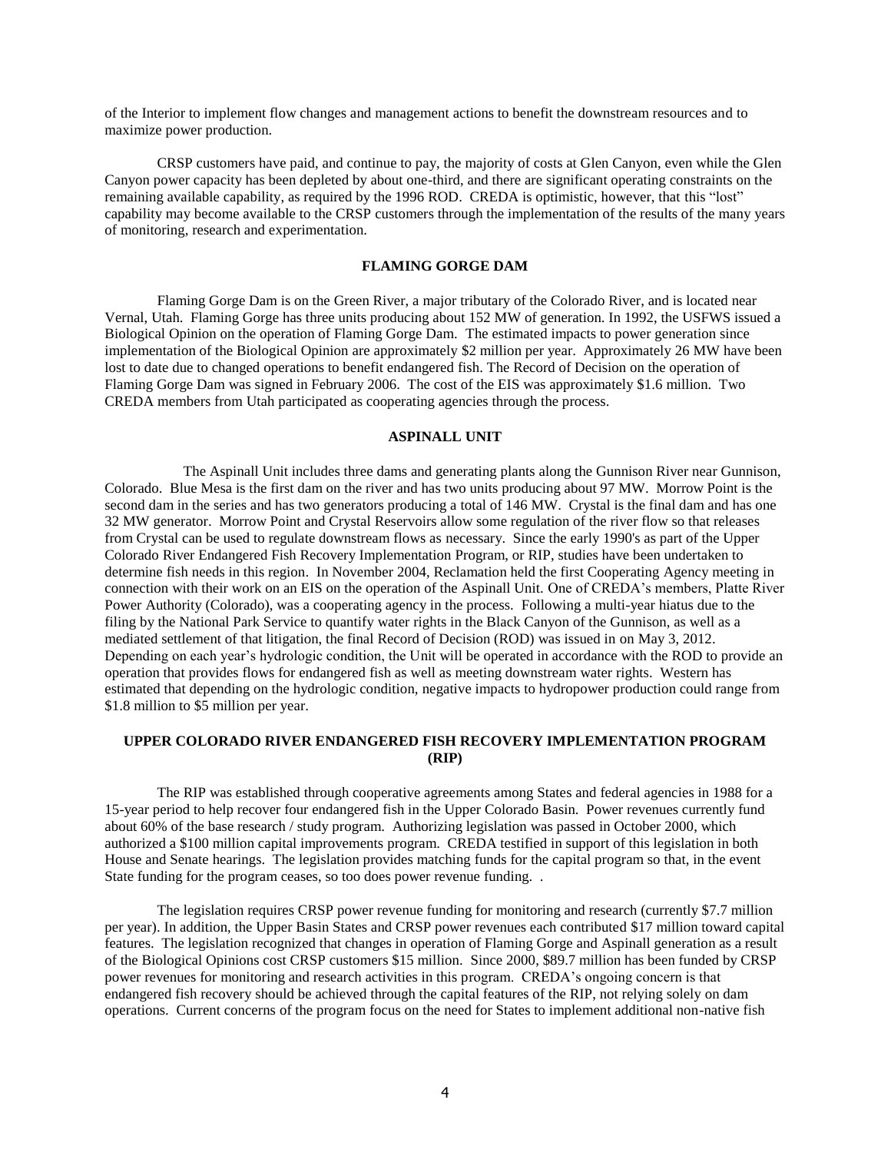of the Interior to implement flow changes and management actions to benefit the downstream resources and to maximize power production.

CRSP customers have paid, and continue to pay, the majority of costs at Glen Canyon, even while the Glen Canyon power capacity has been depleted by about one-third, and there are significant operating constraints on the remaining available capability, as required by the 1996 ROD. CREDA is optimistic, however, that this "lost" capability may become available to the CRSP customers through the implementation of the results of the many years of monitoring, research and experimentation.

### **FLAMING GORGE DAM**

Flaming Gorge Dam is on the Green River, a major tributary of the Colorado River, and is located near Vernal, Utah. Flaming Gorge has three units producing about 152 MW of generation. In 1992, the USFWS issued a Biological Opinion on the operation of Flaming Gorge Dam. The estimated impacts to power generation since implementation of the Biological Opinion are approximately \$2 million per year. Approximately 26 MW have been lost to date due to changed operations to benefit endangered fish. The Record of Decision on the operation of Flaming Gorge Dam was signed in February 2006. The cost of the EIS was approximately \$1.6 million. Two CREDA members from Utah participated as cooperating agencies through the process.

### **ASPINALL UNIT**

The Aspinall Unit includes three dams and generating plants along the Gunnison River near Gunnison, Colorado. Blue Mesa is the first dam on the river and has two units producing about 97 MW. Morrow Point is the second dam in the series and has two generators producing a total of 146 MW. Crystal is the final dam and has one 32 MW generator. Morrow Point and Crystal Reservoirs allow some regulation of the river flow so that releases from Crystal can be used to regulate downstream flows as necessary. Since the early 1990's as part of the Upper Colorado River Endangered Fish Recovery Implementation Program, or RIP, studies have been undertaken to determine fish needs in this region. In November 2004, Reclamation held the first Cooperating Agency meeting in connection with their work on an EIS on the operation of the Aspinall Unit. One of CREDA's members, Platte River Power Authority (Colorado), was a cooperating agency in the process. Following a multi-year hiatus due to the filing by the National Park Service to quantify water rights in the Black Canyon of the Gunnison, as well as a mediated settlement of that litigation, the final Record of Decision (ROD) was issued in on May 3, 2012. Depending on each year's hydrologic condition, the Unit will be operated in accordance with the ROD to provide an operation that provides flows for endangered fish as well as meeting downstream water rights. Western has estimated that depending on the hydrologic condition, negative impacts to hydropower production could range from \$1.8 million to \$5 million per year.

## **UPPER COLORADO RIVER ENDANGERED FISH RECOVERY IMPLEMENTATION PROGRAM (RIP)**

The RIP was established through cooperative agreements among States and federal agencies in 1988 for a 15-year period to help recover four endangered fish in the Upper Colorado Basin. Power revenues currently fund about 60% of the base research / study program. Authorizing legislation was passed in October 2000, which authorized a \$100 million capital improvements program. CREDA testified in support of this legislation in both House and Senate hearings. The legislation provides matching funds for the capital program so that, in the event State funding for the program ceases, so too does power revenue funding. .

The legislation requires CRSP power revenue funding for monitoring and research (currently \$7.7 million per year). In addition, the Upper Basin States and CRSP power revenues each contributed \$17 million toward capital features. The legislation recognized that changes in operation of Flaming Gorge and Aspinall generation as a result of the Biological Opinions cost CRSP customers \$15 million. Since 2000, \$89.7 million has been funded by CRSP power revenues for monitoring and research activities in this program. CREDA's ongoing concern is that endangered fish recovery should be achieved through the capital features of the RIP, not relying solely on dam operations. Current concerns of the program focus on the need for States to implement additional non-native fish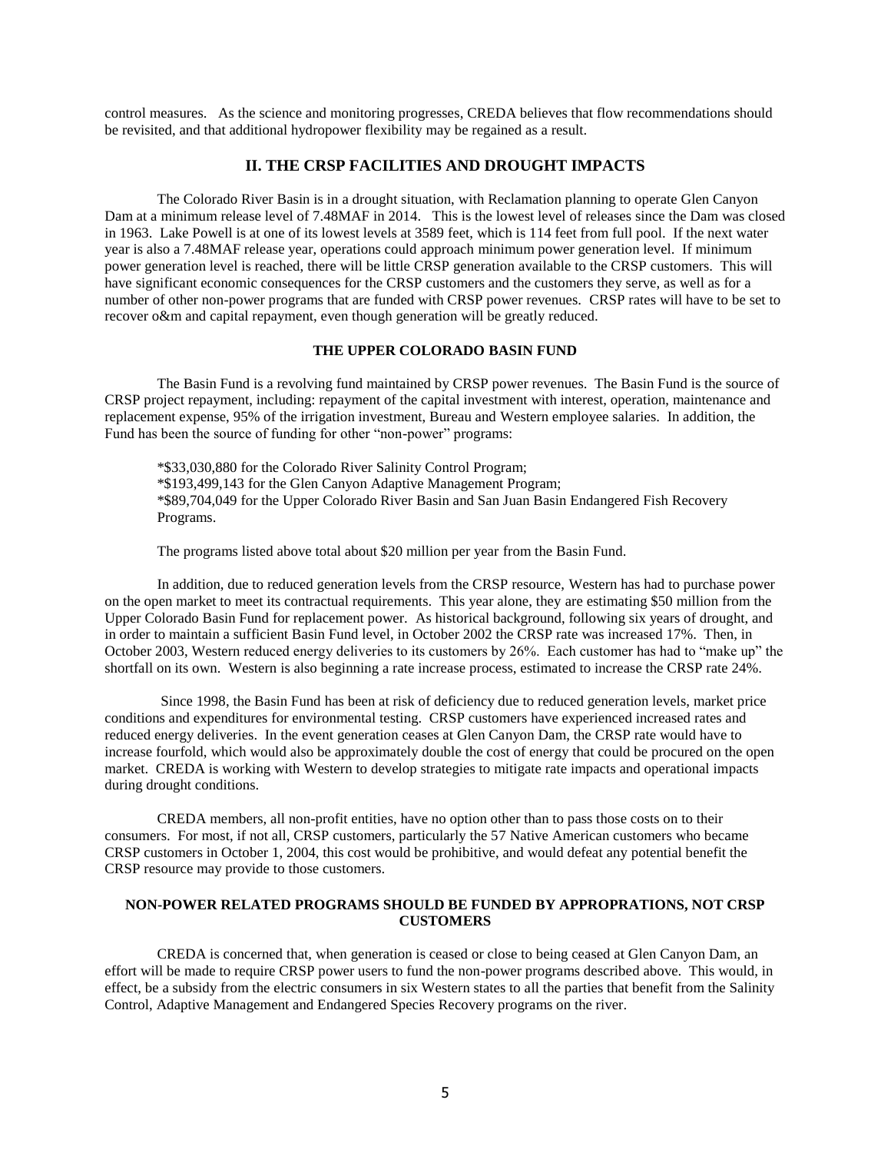control measures. As the science and monitoring progresses, CREDA believes that flow recommendations should be revisited, and that additional hydropower flexibility may be regained as a result.

### **II. THE CRSP FACILITIES AND DROUGHT IMPACTS**

The Colorado River Basin is in a drought situation, with Reclamation planning to operate Glen Canyon Dam at a minimum release level of 7.48MAF in 2014. This is the lowest level of releases since the Dam was closed in 1963. Lake Powell is at one of its lowest levels at 3589 feet, which is 114 feet from full pool. If the next water year is also a 7.48MAF release year, operations could approach minimum power generation level. If minimum power generation level is reached, there will be little CRSP generation available to the CRSP customers. This will have significant economic consequences for the CRSP customers and the customers they serve, as well as for a number of other non-power programs that are funded with CRSP power revenues. CRSP rates will have to be set to recover o&m and capital repayment, even though generation will be greatly reduced.

#### **THE UPPER COLORADO BASIN FUND**

The Basin Fund is a revolving fund maintained by CRSP power revenues. The Basin Fund is the source of CRSP project repayment, including: repayment of the capital investment with interest, operation, maintenance and replacement expense, 95% of the irrigation investment, Bureau and Western employee salaries. In addition, the Fund has been the source of funding for other "non-power" programs:

\*\$33,030,880 for the Colorado River Salinity Control Program; \*\$193,499,143 for the Glen Canyon Adaptive Management Program; \*\$89,704,049 for the Upper Colorado River Basin and San Juan Basin Endangered Fish Recovery Programs.

The programs listed above total about \$20 million per year from the Basin Fund.

In addition, due to reduced generation levels from the CRSP resource, Western has had to purchase power on the open market to meet its contractual requirements. This year alone, they are estimating \$50 million from the Upper Colorado Basin Fund for replacement power. As historical background, following six years of drought, and in order to maintain a sufficient Basin Fund level, in October 2002 the CRSP rate was increased 17%. Then, in October 2003, Western reduced energy deliveries to its customers by 26%. Each customer has had to "make up" the shortfall on its own. Western is also beginning a rate increase process, estimated to increase the CRSP rate 24%.

Since 1998, the Basin Fund has been at risk of deficiency due to reduced generation levels, market price conditions and expenditures for environmental testing. CRSP customers have experienced increased rates and reduced energy deliveries. In the event generation ceases at Glen Canyon Dam, the CRSP rate would have to increase fourfold, which would also be approximately double the cost of energy that could be procured on the open market. CREDA is working with Western to develop strategies to mitigate rate impacts and operational impacts during drought conditions.

CREDA members, all non-profit entities, have no option other than to pass those costs on to their consumers. For most, if not all, CRSP customers, particularly the 57 Native American customers who became CRSP customers in October 1, 2004, this cost would be prohibitive, and would defeat any potential benefit the CRSP resource may provide to those customers.

### **NON-POWER RELATED PROGRAMS SHOULD BE FUNDED BY APPROPRATIONS, NOT CRSP CUSTOMERS**

CREDA is concerned that, when generation is ceased or close to being ceased at Glen Canyon Dam, an effort will be made to require CRSP power users to fund the non-power programs described above. This would, in effect, be a subsidy from the electric consumers in six Western states to all the parties that benefit from the Salinity Control, Adaptive Management and Endangered Species Recovery programs on the river.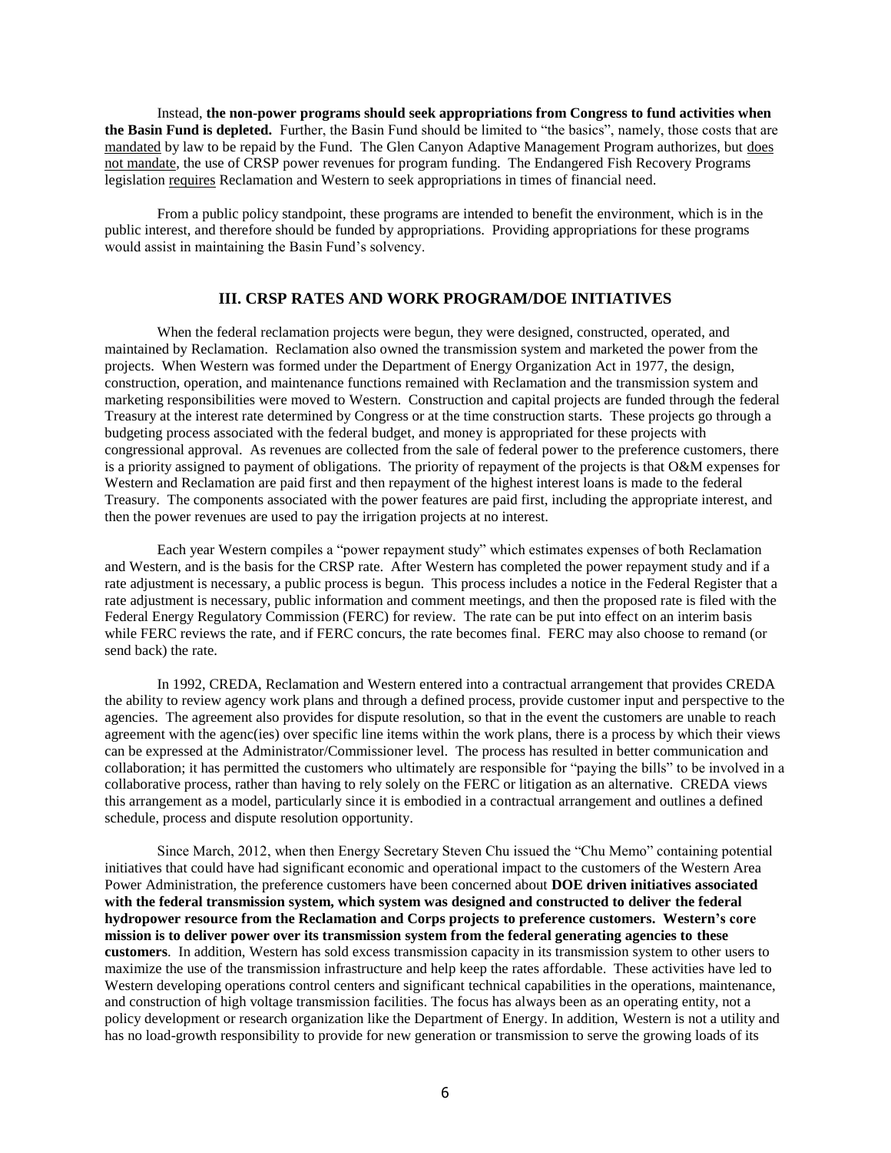Instead, **the non-power programs should seek appropriations from Congress to fund activities when the Basin Fund is depleted.** Further, the Basin Fund should be limited to "the basics", namely, those costs that are mandated by law to be repaid by the Fund. The Glen Canyon Adaptive Management Program authorizes, but does not mandate, the use of CRSP power revenues for program funding. The Endangered Fish Recovery Programs legislation requires Reclamation and Western to seek appropriations in times of financial need.

From a public policy standpoint, these programs are intended to benefit the environment, which is in the public interest, and therefore should be funded by appropriations. Providing appropriations for these programs would assist in maintaining the Basin Fund's solvency.

### **III. CRSP RATES AND WORK PROGRAM/DOE INITIATIVES**

When the federal reclamation projects were begun, they were designed, constructed, operated, and maintained by Reclamation. Reclamation also owned the transmission system and marketed the power from the projects. When Western was formed under the Department of Energy Organization Act in 1977, the design, construction, operation, and maintenance functions remained with Reclamation and the transmission system and marketing responsibilities were moved to Western. Construction and capital projects are funded through the federal Treasury at the interest rate determined by Congress or at the time construction starts. These projects go through a budgeting process associated with the federal budget, and money is appropriated for these projects with congressional approval. As revenues are collected from the sale of federal power to the preference customers, there is a priority assigned to payment of obligations. The priority of repayment of the projects is that O&M expenses for Western and Reclamation are paid first and then repayment of the highest interest loans is made to the federal Treasury. The components associated with the power features are paid first, including the appropriate interest, and then the power revenues are used to pay the irrigation projects at no interest.

Each year Western compiles a "power repayment study" which estimates expenses of both Reclamation and Western, and is the basis for the CRSP rate. After Western has completed the power repayment study and if a rate adjustment is necessary, a public process is begun. This process includes a notice in the Federal Register that a rate adjustment is necessary, public information and comment meetings, and then the proposed rate is filed with the Federal Energy Regulatory Commission (FERC) for review. The rate can be put into effect on an interim basis while FERC reviews the rate, and if FERC concurs, the rate becomes final. FERC may also choose to remand (or send back) the rate.

In 1992, CREDA, Reclamation and Western entered into a contractual arrangement that provides CREDA the ability to review agency work plans and through a defined process, provide customer input and perspective to the agencies. The agreement also provides for dispute resolution, so that in the event the customers are unable to reach agreement with the agenc(ies) over specific line items within the work plans, there is a process by which their views can be expressed at the Administrator/Commissioner level. The process has resulted in better communication and collaboration; it has permitted the customers who ultimately are responsible for "paying the bills" to be involved in a collaborative process, rather than having to rely solely on the FERC or litigation as an alternative. CREDA views this arrangement as a model, particularly since it is embodied in a contractual arrangement and outlines a defined schedule, process and dispute resolution opportunity.

Since March, 2012, when then Energy Secretary Steven Chu issued the "Chu Memo" containing potential initiatives that could have had significant economic and operational impact to the customers of the Western Area Power Administration, the preference customers have been concerned about **DOE driven initiatives associated with the federal transmission system, which system was designed and constructed to deliver the federal hydropower resource from the Reclamation and Corps projects to preference customers. Western's core mission is to deliver power over its transmission system from the federal generating agencies to these customers**. In addition, Western has sold excess transmission capacity in its transmission system to other users to maximize the use of the transmission infrastructure and help keep the rates affordable. These activities have led to Western developing operations control centers and significant technical capabilities in the operations, maintenance, and construction of high voltage transmission facilities. The focus has always been as an operating entity, not a policy development or research organization like the Department of Energy. In addition, Western is not a utility and has no load-growth responsibility to provide for new generation or transmission to serve the growing loads of its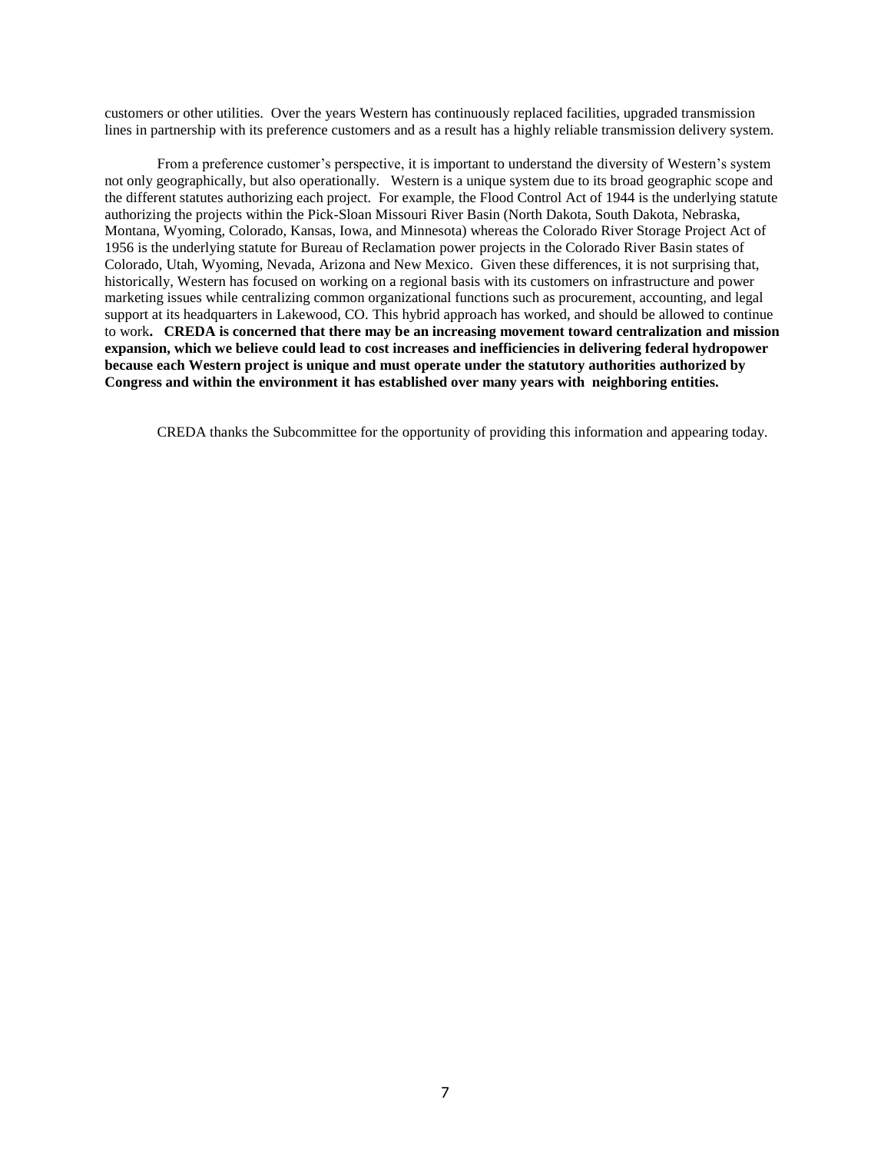customers or other utilities. Over the years Western has continuously replaced facilities, upgraded transmission lines in partnership with its preference customers and as a result has a highly reliable transmission delivery system.

From a preference customer's perspective, it is important to understand the diversity of Western's system not only geographically, but also operationally. Western is a unique system due to its broad geographic scope and the different statutes authorizing each project. For example, the Flood Control Act of 1944 is the underlying statute authorizing the projects within the Pick-Sloan Missouri River Basin (North Dakota, South Dakota, Nebraska, Montana, Wyoming, Colorado, Kansas, Iowa, and Minnesota) whereas the Colorado River Storage Project Act of 1956 is the underlying statute for Bureau of Reclamation power projects in the Colorado River Basin states of Colorado, Utah, Wyoming, Nevada, Arizona and New Mexico. Given these differences, it is not surprising that, historically, Western has focused on working on a regional basis with its customers on infrastructure and power marketing issues while centralizing common organizational functions such as procurement, accounting, and legal support at its headquarters in Lakewood, CO. This hybrid approach has worked, and should be allowed to continue to work**. CREDA is concerned that there may be an increasing movement toward centralization and mission expansion, which we believe could lead to cost increases and inefficiencies in delivering federal hydropower because each Western project is unique and must operate under the statutory authorities authorized by Congress and within the environment it has established over many years with neighboring entities.**

CREDA thanks the Subcommittee for the opportunity of providing this information and appearing today.